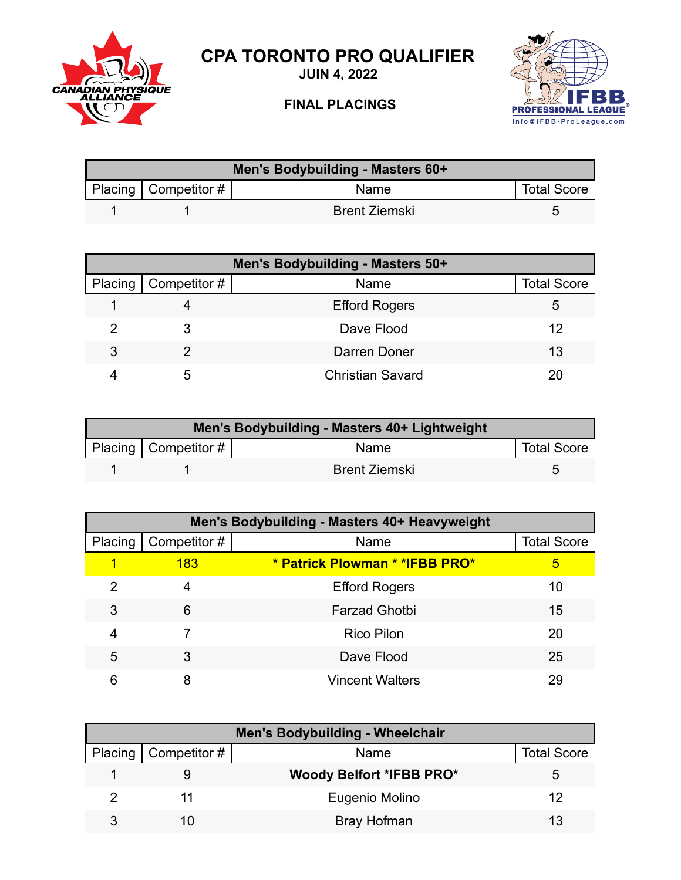

**JUIN 4, 2022**



## **FINAL PLACINGS**



| Men's Bodybuilding - Masters 60+ |                        |                      |                    |  |
|----------------------------------|------------------------|----------------------|--------------------|--|
|                                  | Placing   Competitor # | Name                 | <b>Total Score</b> |  |
|                                  |                        | <b>Brent Ziemski</b> |                    |  |

| Men's Bodybuilding - Masters 50+ |                        |                         |                    |  |
|----------------------------------|------------------------|-------------------------|--------------------|--|
|                                  | Placing   Competitor # | Name                    | <b>Total Score</b> |  |
|                                  |                        | <b>Efford Rogers</b>    | 5                  |  |
|                                  |                        | Dave Flood              | 12                 |  |
| 3                                |                        | Darren Doner            | 13                 |  |
|                                  | 5                      | <b>Christian Savard</b> |                    |  |

| Men's Bodybuilding - Masters 40+ Lightweight |                          |                      |                    |  |
|----------------------------------------------|--------------------------|----------------------|--------------------|--|
|                                              | Placing   Competitor $#$ | Name                 | <b>Total Score</b> |  |
|                                              |                          | <b>Brent Ziemski</b> |                    |  |

| Men's Bodybuilding - Masters 40+ Heavyweight |              |                                 |                    |  |
|----------------------------------------------|--------------|---------------------------------|--------------------|--|
| Placing                                      | Competitor # | Name                            | <b>Total Score</b> |  |
|                                              | <b>183</b>   | * Patrick Plowman * * IFBB PRO* | 5                  |  |
| 2                                            | 4            | <b>Efford Rogers</b>            | 10                 |  |
| 3                                            | 6            | <b>Farzad Ghotbi</b>            | 15                 |  |
| 4                                            |              | <b>Rico Pilon</b>               | 20                 |  |
| 5                                            | 3            | Dave Flood                      | 25                 |  |
| 6                                            | 8            | <b>Vincent Walters</b>          | 29                 |  |

| <b>Men's Bodybuilding - Wheelchair</b> |                        |                                 |                    |  |
|----------------------------------------|------------------------|---------------------------------|--------------------|--|
|                                        | Placing   Competitor # | Name                            | <b>Total Score</b> |  |
|                                        |                        | <b>Woody Belfort *IFBB PRO*</b> |                    |  |
|                                        |                        | Eugenio Molino                  | 12                 |  |
| ર                                      |                        | Bray Hofman                     | 13                 |  |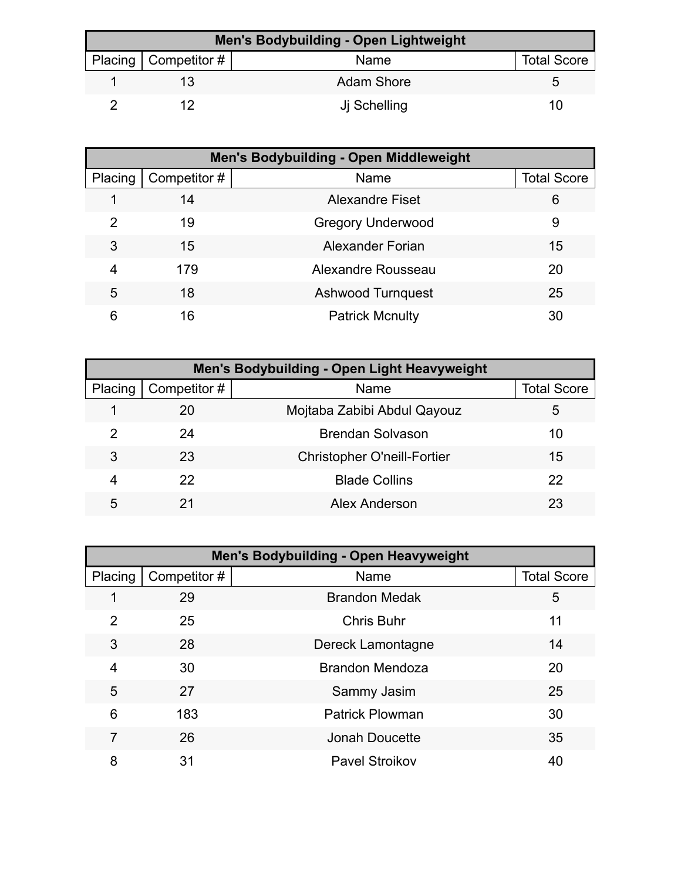| <b>Men's Bodybuilding - Open Lightweight</b> |                          |                   |                    |  |  |
|----------------------------------------------|--------------------------|-------------------|--------------------|--|--|
|                                              | Placing   Competitor $#$ | Name              | <b>Total Score</b> |  |  |
|                                              |                          | <b>Adam Shore</b> |                    |  |  |
|                                              |                          | Ji Schelling      | 10                 |  |  |

| <b>Men's Bodybuilding - Open Middleweight</b> |              |                          |                    |  |
|-----------------------------------------------|--------------|--------------------------|--------------------|--|
| Placing                                       | Competitor # | Name                     | <b>Total Score</b> |  |
|                                               | 14           | <b>Alexandre Fiset</b>   | 6                  |  |
| 2                                             | 19           | <b>Gregory Underwood</b> | 9                  |  |
| 3                                             | 15           | Alexander Forian         | 15                 |  |
| 4                                             | 179          | Alexandre Rousseau       | 20                 |  |
| 5                                             | 18           | <b>Ashwood Turnquest</b> | 25                 |  |
| 6                                             | 16           | <b>Patrick Mcnulty</b>   | 30                 |  |

| Men's Bodybuilding - Open Light Heavyweight |              |                                    |                    |  |
|---------------------------------------------|--------------|------------------------------------|--------------------|--|
| Placing                                     | Competitor # | Name                               | <b>Total Score</b> |  |
|                                             | 20           | Mojtaba Zabibi Abdul Qayouz        | 5                  |  |
| 2                                           | 24           | <b>Brendan Solvason</b>            | 10                 |  |
| 3                                           | 23           | <b>Christopher O'neill-Fortier</b> | 15                 |  |
| 4                                           | 22           | <b>Blade Collins</b>               | 22                 |  |
| 5                                           | 21           | Alex Anderson                      | 23                 |  |

| Men's Bodybuilding - Open Heavyweight |              |                        |                    |  |
|---------------------------------------|--------------|------------------------|--------------------|--|
| Placing                               | Competitor # | Name                   | <b>Total Score</b> |  |
|                                       | 29           | <b>Brandon Medak</b>   | 5                  |  |
| 2                                     | 25           | <b>Chris Buhr</b>      | 11                 |  |
| 3                                     | 28           | Dereck Lamontagne      | 14                 |  |
| 4                                     | 30           | <b>Brandon Mendoza</b> | 20                 |  |
| 5                                     | 27           | Sammy Jasim            | 25                 |  |
| 6                                     | 183          | <b>Patrick Plowman</b> | 30                 |  |
|                                       | 26           | <b>Jonah Doucette</b>  | 35                 |  |
| 8                                     | 31           | <b>Pavel Stroikov</b>  | 40                 |  |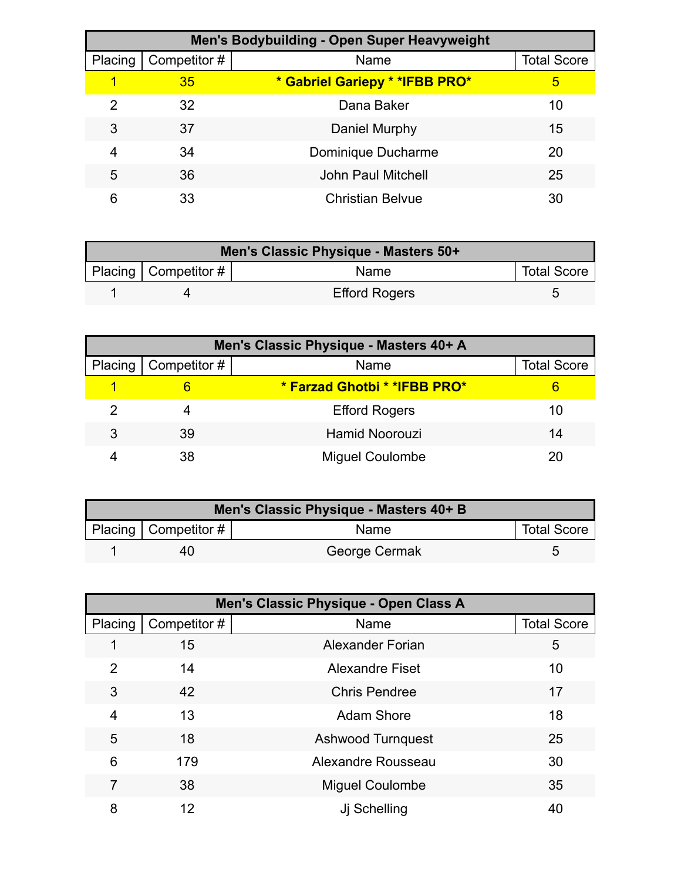| Men's Bodybuilding - Open Super Heavyweight |              |                                 |                    |  |
|---------------------------------------------|--------------|---------------------------------|--------------------|--|
| Placing                                     | Competitor # | Name                            | <b>Total Score</b> |  |
|                                             | 35           | * Gabriel Gariepy * * IFBB PRO* | 5                  |  |
| 2                                           | 32           | Dana Baker                      | 10                 |  |
| 3                                           | 37           | Daniel Murphy                   | 15                 |  |
| 4                                           | 34           | Dominique Ducharme              | 20                 |  |
| 5                                           | 36           | <b>John Paul Mitchell</b>       | 25                 |  |
| 6                                           | 33           | <b>Christian Belvue</b>         | 30                 |  |

| Men's Classic Physique - Masters 50+ |                        |                      |                    |  |
|--------------------------------------|------------------------|----------------------|--------------------|--|
|                                      | Placing   Competitor # | Name                 | <b>Total Score</b> |  |
|                                      |                        | <b>Efford Rogers</b> |                    |  |

| Men's Classic Physique - Masters 40+ A |              |                               |                    |  |
|----------------------------------------|--------------|-------------------------------|--------------------|--|
| Placing                                | Competitor # | Name                          | <b>Total Score</b> |  |
|                                        |              | * Farzad Ghotbi * * IFBB PRO* |                    |  |
|                                        |              | <b>Efford Rogers</b>          | 10                 |  |
| 3                                      | 39           | <b>Hamid Noorouzi</b>         | 14                 |  |
|                                        | 38           | <b>Miguel Coulombe</b>        | 20                 |  |

| Men's Classic Physique - Masters 40+ B |                                |               |                    |
|----------------------------------------|--------------------------------|---------------|--------------------|
|                                        | Placing   Competitor # $\vert$ | Name          | <b>Total Score</b> |
|                                        | 40                             | George Cermak |                    |

|                | Men's Classic Physique - Open Class A |                          |                    |  |
|----------------|---------------------------------------|--------------------------|--------------------|--|
| Placing        | Competitor #                          | Name                     | <b>Total Score</b> |  |
|                | 15                                    | <b>Alexander Forian</b>  | 5                  |  |
| $\overline{2}$ | 14                                    | <b>Alexandre Fiset</b>   | 10                 |  |
| 3              | 42                                    | <b>Chris Pendree</b>     | 17                 |  |
| 4              | 13                                    | <b>Adam Shore</b>        | 18                 |  |
| 5              | 18                                    | <b>Ashwood Turnquest</b> | 25                 |  |
| 6              | 179                                   | Alexandre Rousseau       | 30                 |  |
| 7              | 38                                    | <b>Miguel Coulombe</b>   | 35                 |  |
| 8              | 12                                    | Ji Schelling             | 40                 |  |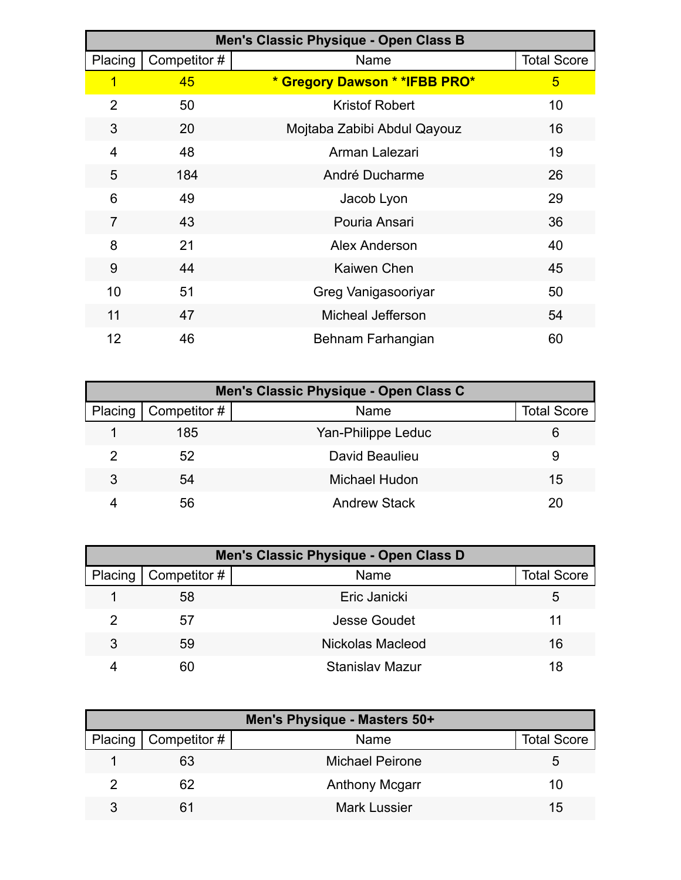| Men's Classic Physique - Open Class B |             |                                |                    |
|---------------------------------------|-------------|--------------------------------|--------------------|
| Placing                               | Competitor# | Name                           | <b>Total Score</b> |
| $\overline{\mathbf{1}}$               | 45          | * Gregory Dawson * * IFBB PRO* | 5                  |
| $\overline{2}$                        | 50          | <b>Kristof Robert</b>          | 10                 |
| 3                                     | 20          | Mojtaba Zabibi Abdul Qayouz    | 16                 |
| 4                                     | 48          | Arman Lalezari                 | 19                 |
| 5                                     | 184         | André Ducharme                 | 26                 |
| 6                                     | 49          | Jacob Lyon                     | 29                 |
| $\overline{7}$                        | 43          | Pouria Ansari                  | 36                 |
| 8                                     | 21          | Alex Anderson                  | 40                 |
| 9                                     | 44          | Kaiwen Chen                    | 45                 |
| 10                                    | 51          | Greg Vanigasooriyar            | 50                 |
| 11                                    | 47          | Micheal Jefferson              | 54                 |
| 12                                    | 46          | Behnam Farhangian              | 60                 |

|         | Men's Classic Physique - Open Class C |                     |                    |  |  |
|---------|---------------------------------------|---------------------|--------------------|--|--|
| Placing | Competitor #                          | Name                | <b>Total Score</b> |  |  |
|         | 185                                   | Yan-Philippe Leduc  | 6                  |  |  |
|         | 52                                    | David Beaulieu      | 9                  |  |  |
| 3       | 54                                    | Michael Hudon       | 15                 |  |  |
|         | 56                                    | <b>Andrew Stack</b> | 20                 |  |  |

| Men's Classic Physique - Open Class D |                |                        |                    |
|---------------------------------------|----------------|------------------------|--------------------|
| Placing                               | │ Competitor # | Name                   | <b>Total Score</b> |
|                                       | 58             | Eric Janicki           | 5                  |
|                                       | 57             | Jesse Goudet           | 11                 |
| 3                                     | 59             | Nickolas Macleod       | 16                 |
|                                       | 60             | <b>Stanislav Mazur</b> | 18                 |

| Men's Physique - Masters 50+ |                              |                        |                    |
|------------------------------|------------------------------|------------------------|--------------------|
|                              | Placing $\vert$ Competitor # | Name                   | <b>Total Score</b> |
|                              | 63                           | <b>Michael Peirone</b> | :5                 |
|                              | 62                           | <b>Anthony Mcgarr</b>  | 10                 |
| 3                            | 61                           | <b>Mark Lussier</b>    | 15                 |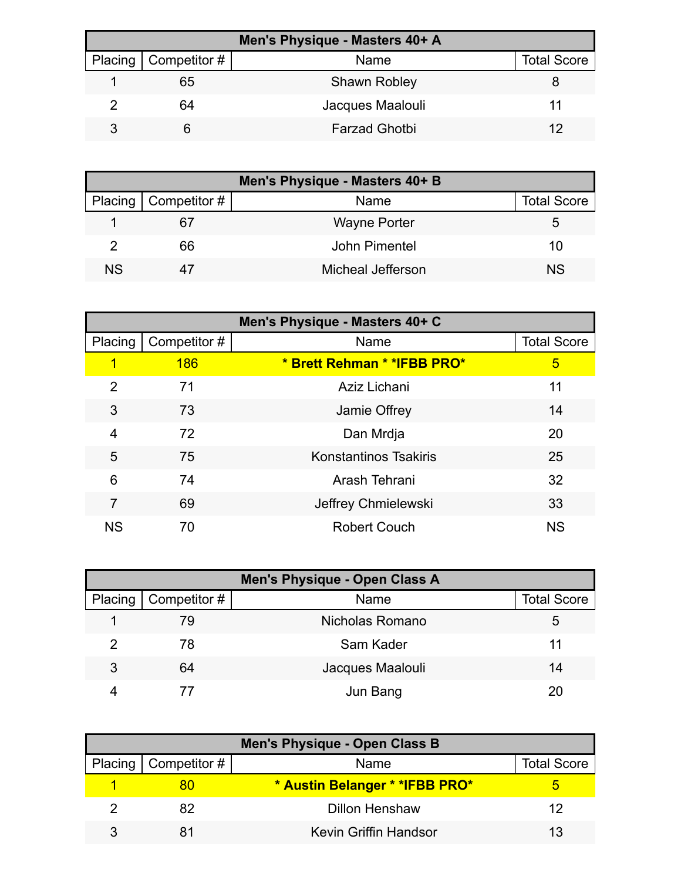| Men's Physique - Masters 40+ A |                              |                      |                    |  |
|--------------------------------|------------------------------|----------------------|--------------------|--|
|                                | Placing $\vert$ Competitor # | Name                 | <b>Total Score</b> |  |
|                                | 65                           | <b>Shawn Robley</b>  |                    |  |
|                                | 64                           | Jacques Maalouli     |                    |  |
|                                |                              | <b>Farzad Ghotbi</b> |                    |  |

| Men's Physique - Masters 40+ B |                          |                     |                    |  |
|--------------------------------|--------------------------|---------------------|--------------------|--|
|                                | Placing   Competitor $#$ | Name                | <b>Total Score</b> |  |
|                                | 67                       | <b>Wayne Porter</b> | b                  |  |
|                                | 66                       | John Pimentel       | 10                 |  |
| N.S                            |                          | Micheal Jefferson   | N <sub>S</sub>     |  |

| Men's Physique - Masters 40+ C |              |                              |                    |
|--------------------------------|--------------|------------------------------|--------------------|
| Placing                        | Competitor # | Name                         | <b>Total Score</b> |
| 1                              | <b>186</b>   | * Brett Rehman * * IFBB PRO* | 5                  |
| 2                              | 71           | Aziz Lichani                 | 11                 |
| 3                              | 73           | Jamie Offrey                 | 14                 |
| 4                              | 72           | Dan Mrdja                    | 20                 |
| 5                              | 75           | <b>Konstantinos Tsakiris</b> | 25                 |
| 6                              | 74           | Arash Tehrani                | 32                 |
| 7                              | 69           | Jeffrey Chmielewski          | 33                 |
| <b>NS</b>                      | 70           | <b>Robert Couch</b>          | <b>NS</b>          |

| Men's Physique - Open Class A |                     |                  |                    |
|-------------------------------|---------------------|------------------|--------------------|
| Placing                       | $\mid$ Competitor # | Name             | <b>Total Score</b> |
|                               | 79                  | Nicholas Romano  | 5.                 |
|                               | 78                  | Sam Kader        | 11                 |
| 3                             | 64                  | Jacques Maalouli | 14                 |
|                               |                     | Jun Bang         |                    |

| Men's Physique - Open Class B |                              |                                 |                    |
|-------------------------------|------------------------------|---------------------------------|--------------------|
|                               | Placing $\vert$ Competitor # | Name                            | <b>Total Score</b> |
|                               |                              | * Austin Belanger * * IFBB PRO* |                    |
|                               | 82                           | <b>Dillon Henshaw</b>           | 12                 |
|                               |                              | Kevin Griffin Handsor           |                    |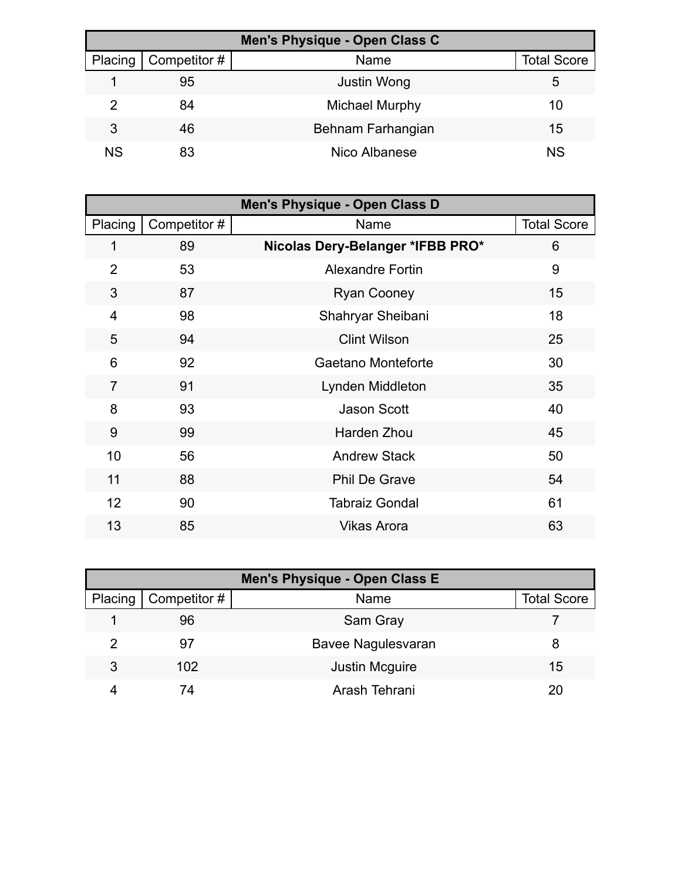| Men's Physique - Open Class C |              |                       |                    |
|-------------------------------|--------------|-----------------------|--------------------|
| Placing                       | Competitor # | Name                  | <b>Total Score</b> |
|                               | 95           | <b>Justin Wong</b>    | 5                  |
|                               | 84           | <b>Michael Murphy</b> | 10                 |
| 3                             | 46           | Behnam Farhangian     | 15                 |
| <b>NS</b>                     | 83           | Nico Albanese         | <b>NS</b>          |

| Men's Physique - Open Class D |              |                                  |                    |
|-------------------------------|--------------|----------------------------------|--------------------|
| Placing                       | Competitor # | Name                             | <b>Total Score</b> |
| 1                             | 89           | Nicolas Dery-Belanger *IFBB PRO* | 6                  |
| $\overline{2}$                | 53           | <b>Alexandre Fortin</b>          | 9                  |
| 3                             | 87           | <b>Ryan Cooney</b>               | 15                 |
| $\overline{4}$                | 98           | Shahryar Sheibani                | 18                 |
| 5                             | 94           | <b>Clint Wilson</b>              | 25                 |
| 6                             | 92           | Gaetano Monteforte               | 30                 |
| $\overline{7}$                | 91           | Lynden Middleton                 | 35                 |
| 8                             | 93           | <b>Jason Scott</b>               | 40                 |
| 9                             | 99           | <b>Harden Zhou</b>               | 45                 |
| 10                            | 56           | <b>Andrew Stack</b>              | 50                 |
| 11                            | 88           | <b>Phil De Grave</b>             | 54                 |
| 12                            | 90           | <b>Tabraiz Gondal</b>            | 61                 |
| 13                            | 85           | <b>Vikas Arora</b>               | 63                 |

| Men's Physique - Open Class E |              |                       |                    |  |
|-------------------------------|--------------|-----------------------|--------------------|--|
| Placing                       | Competitor # | Name                  | <b>Total Score</b> |  |
|                               | 96           | Sam Gray              |                    |  |
|                               | 97           | Bavee Nagulesvaran    | 8                  |  |
| 3                             | 102          | <b>Justin Mcguire</b> | 15                 |  |
|                               | 7Δ           | Arash Tehrani         | 20                 |  |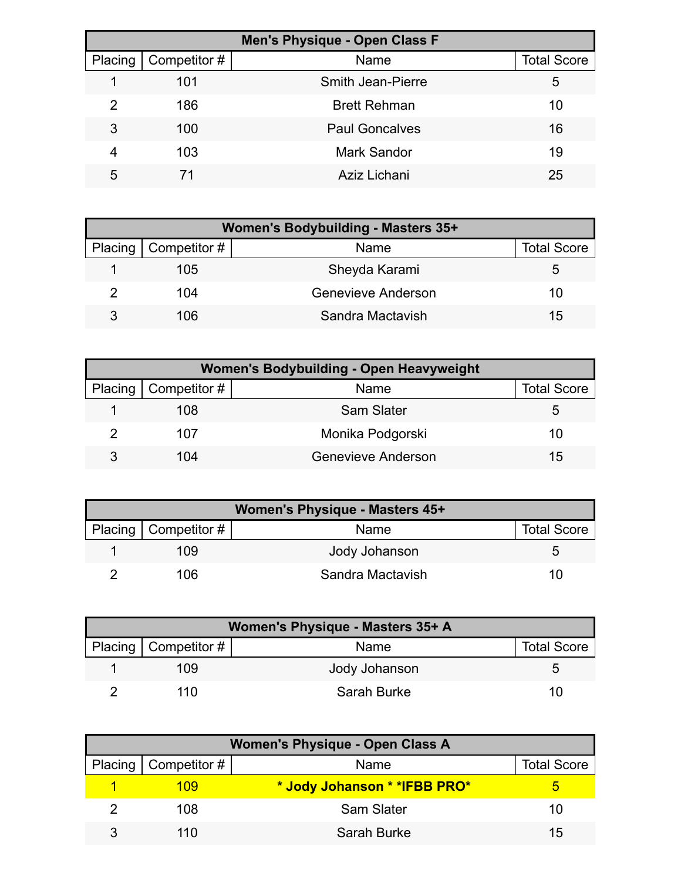| <b>Men's Physique - Open Class F</b> |              |                          |                    |  |
|--------------------------------------|--------------|--------------------------|--------------------|--|
| Placing                              | Competitor # | Name                     | <b>Total Score</b> |  |
|                                      | 101          | <b>Smith Jean-Pierre</b> | 5                  |  |
| 2                                    | 186          | <b>Brett Rehman</b>      | 10                 |  |
| 3                                    | 100          | <b>Paul Goncalves</b>    | 16                 |  |
| 4                                    | 103          | <b>Mark Sandor</b>       | 19                 |  |
| 5                                    | 71           | Aziz Lichani             | 25                 |  |

| Women's Bodybuilding - Masters 35+ |                        |                    |                    |  |
|------------------------------------|------------------------|--------------------|--------------------|--|
|                                    | Placing   Competitor # | Name               | <b>Total Score</b> |  |
|                                    | 105                    | Sheyda Karami      | b                  |  |
|                                    | 104                    | Genevieve Anderson | 10                 |  |
|                                    | 106                    | Sandra Mactavish   | 15                 |  |

| <b>Women's Bodybuilding - Open Heavyweight</b> |                        |                           |                    |  |
|------------------------------------------------|------------------------|---------------------------|--------------------|--|
|                                                | Placing   Competitor # | Name                      | <b>Total Score</b> |  |
|                                                | 108                    | Sam Slater                | b                  |  |
|                                                | 107                    | Monika Podgorski          | 10                 |  |
|                                                | 104                    | <b>Genevieve Anderson</b> | 15                 |  |

| Women's Physique - Masters 45+ |                        |                  |                    |
|--------------------------------|------------------------|------------------|--------------------|
|                                | Placing   Competitor # | Name             | <b>Total Score</b> |
|                                | 109                    | Jody Johanson    |                    |
|                                | 106.                   | Sandra Mactavish | 10                 |

| Women's Physique - Masters 35+ A |                          |               |                    |  |
|----------------------------------|--------------------------|---------------|--------------------|--|
|                                  | Placing   Competitor $#$ | Name          | <b>Total Score</b> |  |
|                                  | 109                      | Jody Johanson |                    |  |
|                                  | 110                      | Sarah Burke   | 10                 |  |

| <b>Women's Physique - Open Class A</b> |                        |                              |                    |
|----------------------------------------|------------------------|------------------------------|--------------------|
|                                        | Placing   Competitor # | Name                         | <b>Total Score</b> |
|                                        | 109                    | * Jody Johanson * *IFBB PRO* |                    |
|                                        | 108                    | <b>Sam Slater</b>            | 10                 |
|                                        | 110                    | Sarah Burke                  | 15                 |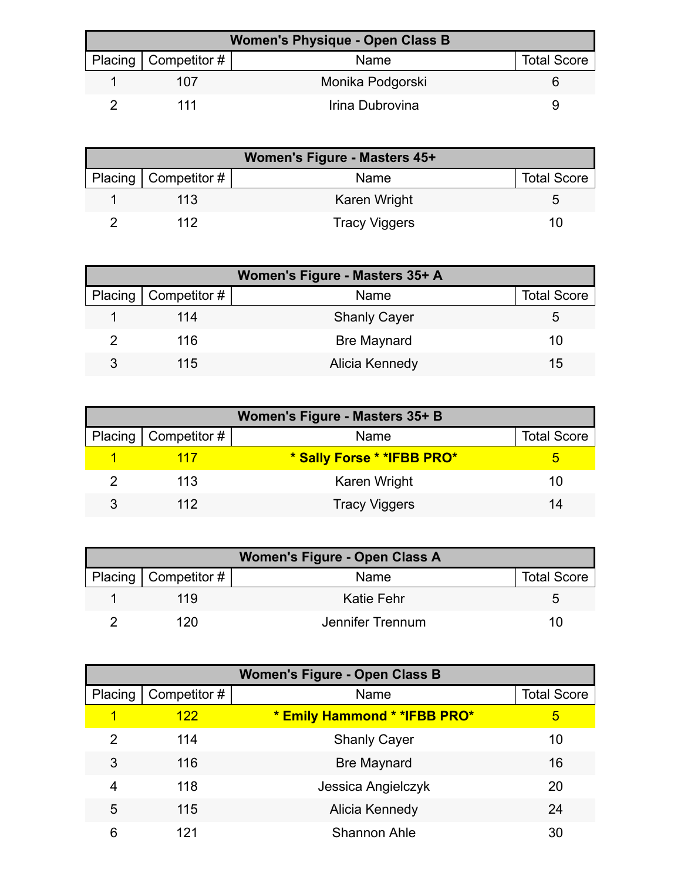| <b>Women's Physique - Open Class B</b> |                          |                  |                    |  |
|----------------------------------------|--------------------------|------------------|--------------------|--|
|                                        | Placing   Competitor $#$ | <b>Name</b>      | <b>Total Score</b> |  |
|                                        | 107                      | Monika Podgorski |                    |  |
|                                        | 111                      | Irina Dubrovina  |                    |  |

| Women's Figure - Masters 45+ |                      |                    |  |  |
|------------------------------|----------------------|--------------------|--|--|
| Placing $\vert$ Competitor # | Name                 | <b>Total Score</b> |  |  |
| 113                          | Karen Wright         | G                  |  |  |
| 112                          | <b>Tracy Viggers</b> | 7 O I              |  |  |

| Women's Figure - Masters 35+ A |                        |                     |                    |  |
|--------------------------------|------------------------|---------------------|--------------------|--|
|                                | Placing   Competitor # | Name                | <b>Total Score</b> |  |
|                                | 114                    | <b>Shanly Cayer</b> |                    |  |
|                                | 116                    | <b>Bre Maynard</b>  | 10                 |  |
| 3                              | 115                    | Alicia Kennedy      | 15                 |  |

| Women's Figure - Masters 35+ B |                        |                             |                    |  |
|--------------------------------|------------------------|-----------------------------|--------------------|--|
|                                | Placing   Competitor # | Name                        | <b>Total Score</b> |  |
|                                | 117                    | * Sally Forse * * IFBB PRO* |                    |  |
|                                | 113                    | Karen Wright                | 10                 |  |
|                                | 112                    | <b>Tracy Viggers</b>        | 14                 |  |

| Women's Figure - Open Class A |                        |                  |                    |  |
|-------------------------------|------------------------|------------------|--------------------|--|
|                               | Placing   Competitor # | Name             | <b>Total Score</b> |  |
|                               | 119                    | Katie Fehr       |                    |  |
|                               | 120                    | Jennifer Trennum | 10                 |  |

| <b>Women's Figure - Open Class B</b> |              |                               |                    |  |
|--------------------------------------|--------------|-------------------------------|--------------------|--|
| Placing                              | Competitor # | Name                          | <b>Total Score</b> |  |
|                                      | 122          | * Emily Hammond * * IFBB PRO* | 5                  |  |
| 2                                    | 114          | <b>Shanly Cayer</b>           | 10                 |  |
| 3                                    | 116          | <b>Bre Maynard</b>            | 16                 |  |
| 4                                    | 118          | Jessica Angielczyk            | 20                 |  |
| 5                                    | 115          | Alicia Kennedy                | 24                 |  |
| 6                                    | 121          | <b>Shannon Ahle</b>           | 30                 |  |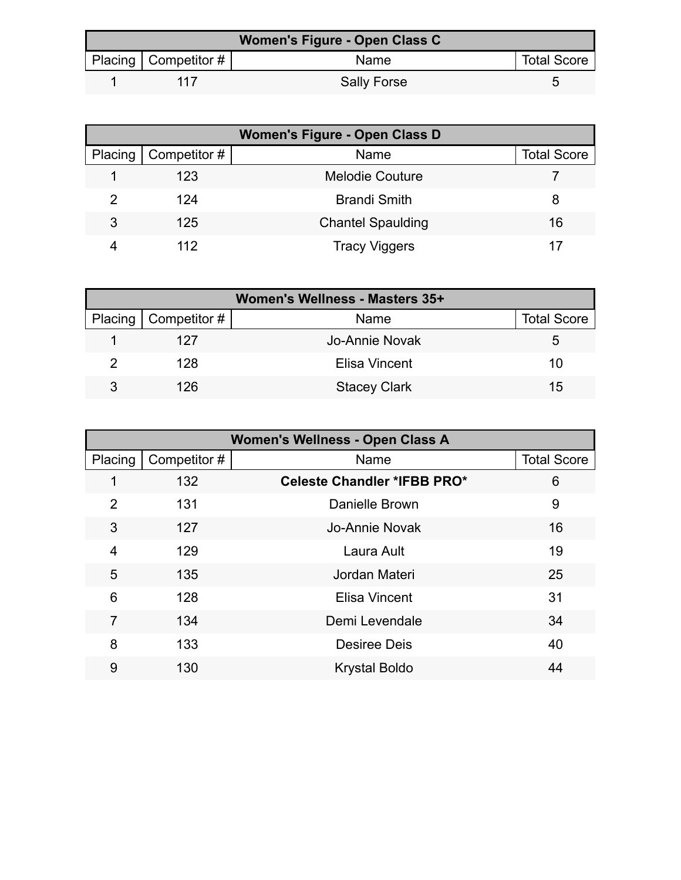| Women's Figure - Open Class C |                           |                    |                    |  |
|-------------------------------|---------------------------|--------------------|--------------------|--|
|                               | Placing   Competitor $\#$ | Name               | <b>Total Score</b> |  |
|                               | 117                       | <b>Sally Forse</b> |                    |  |

| <b>Women's Figure - Open Class D</b> |              |                          |                    |  |
|--------------------------------------|--------------|--------------------------|--------------------|--|
| Placing                              | Competitor # | Name                     | <b>Total Score</b> |  |
|                                      | 123          | <b>Melodie Couture</b>   |                    |  |
|                                      | 124          | <b>Brandi Smith</b>      | 8                  |  |
| 3                                    | 125          | <b>Chantel Spaulding</b> | 16                 |  |
|                                      | 112          | <b>Tracy Viggers</b>     |                    |  |

| Women's Wellness - Masters 35+ |                              |                     |                    |  |
|--------------------------------|------------------------------|---------------------|--------------------|--|
|                                | Placing $\vert$ Competitor # | Name                | <b>Total Score</b> |  |
|                                | 127                          | Jo-Annie Novak      | 5.                 |  |
|                                | 128                          | Elisa Vincent       | 10                 |  |
|                                | 126                          | <b>Stacey Clark</b> | 15                 |  |

| Women's Wellness - Open Class A |             |                                    |                    |
|---------------------------------|-------------|------------------------------------|--------------------|
| Placing                         | Competitor# | Name                               | <b>Total Score</b> |
|                                 | 132         | <b>Celeste Chandler *IFBB PRO*</b> | 6                  |
| 2                               | 131         | Danielle Brown                     | 9                  |
| 3                               | 127         | Jo-Annie Novak                     | 16                 |
| 4                               | 129         | Laura Ault                         | 19                 |
| 5                               | 135         | Jordan Materi                      | 25                 |
| 6                               | 128         | <b>Elisa Vincent</b>               | 31                 |
| 7                               | 134         | Demi Levendale                     | 34                 |
| 8                               | 133         | <b>Desiree Deis</b>                | 40                 |
| 9                               | 130         | <b>Krystal Boldo</b>               | 44                 |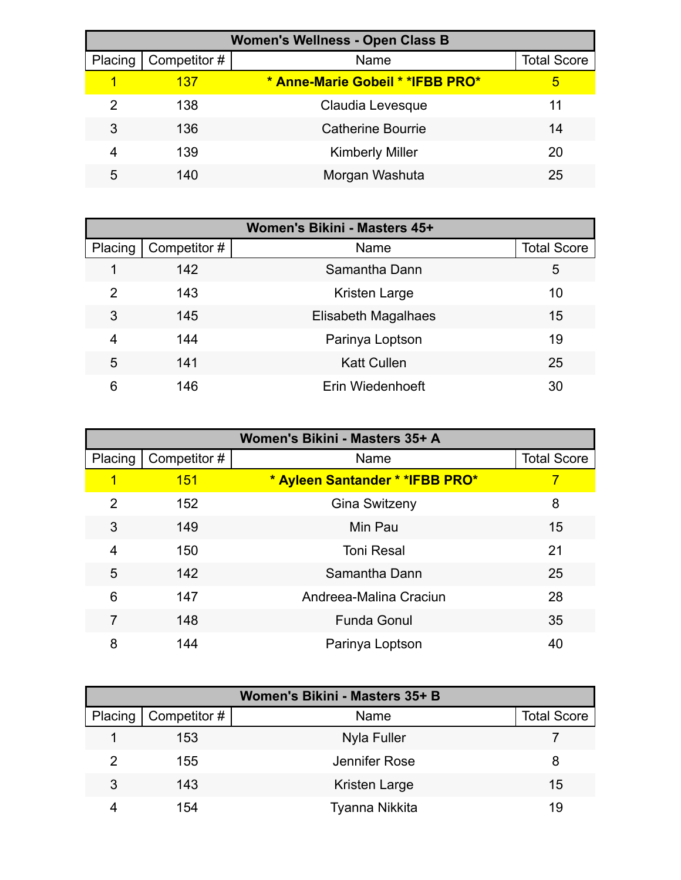| <b>Women's Wellness - Open Class B</b> |              |                                  |                    |  |
|----------------------------------------|--------------|----------------------------------|--------------------|--|
| Placing                                | Competitor # | Name                             | <b>Total Score</b> |  |
|                                        | 137          | * Anne-Marie Gobeil * *IFBB PRO* | 5                  |  |
| 2                                      | 138          | Claudia Levesque                 | 11                 |  |
| 3                                      | 136          | <b>Catherine Bourrie</b>         | 14                 |  |
| 4                                      | 139          | <b>Kimberly Miller</b>           | 20                 |  |
| 5                                      | 140          | Morgan Washuta                   | 25                 |  |

| Women's Bikini - Masters 45+ |              |                      |                    |  |
|------------------------------|--------------|----------------------|--------------------|--|
| Placing                      | Competitor # | Name                 | <b>Total Score</b> |  |
|                              | 142          | Samantha Dann        | 5                  |  |
| 2                            | 143          | <b>Kristen Large</b> | 10                 |  |
| 3                            | 145          | Elisabeth Magalhaes  | 15                 |  |
| 4                            | 144          | Parinya Loptson      | 19                 |  |
| 5                            | 141          | <b>Katt Cullen</b>   | 25                 |  |
| 6                            | 146          | Erin Wiedenhoeft     | 30                 |  |

| Women's Bikini - Masters 35+ A |              |                                  |                    |
|--------------------------------|--------------|----------------------------------|--------------------|
| Placing                        | Competitor # | Name                             | <b>Total Score</b> |
| 1                              | <b>151</b>   | * Ayleen Santander * * IFBB PRO* | 7                  |
| 2                              | 152          | <b>Gina Switzeny</b>             | 8                  |
| 3                              | 149          | Min Pau                          | 15                 |
| 4                              | 150          | <b>Toni Resal</b>                | 21                 |
| 5                              | 142          | Samantha Dann                    | 25                 |
| 6                              | 147          | Andreea-Malina Craciun           | 28                 |
| 7                              | 148          | <b>Funda Gonul</b>               | 35                 |
| 8                              | 144          | Parinya Loptson                  | 40                 |

| Women's Bikini - Masters 35+ B |              |                |                    |  |
|--------------------------------|--------------|----------------|--------------------|--|
| Placing                        | Competitor # | Name           | <b>Total Score</b> |  |
|                                | 153          | Nyla Fuller    |                    |  |
| 2                              | 155          | Jennifer Rose  | 8                  |  |
| 3                              | 143          | Kristen Large  | 15                 |  |
|                                | 154          | Tyanna Nikkita | 19                 |  |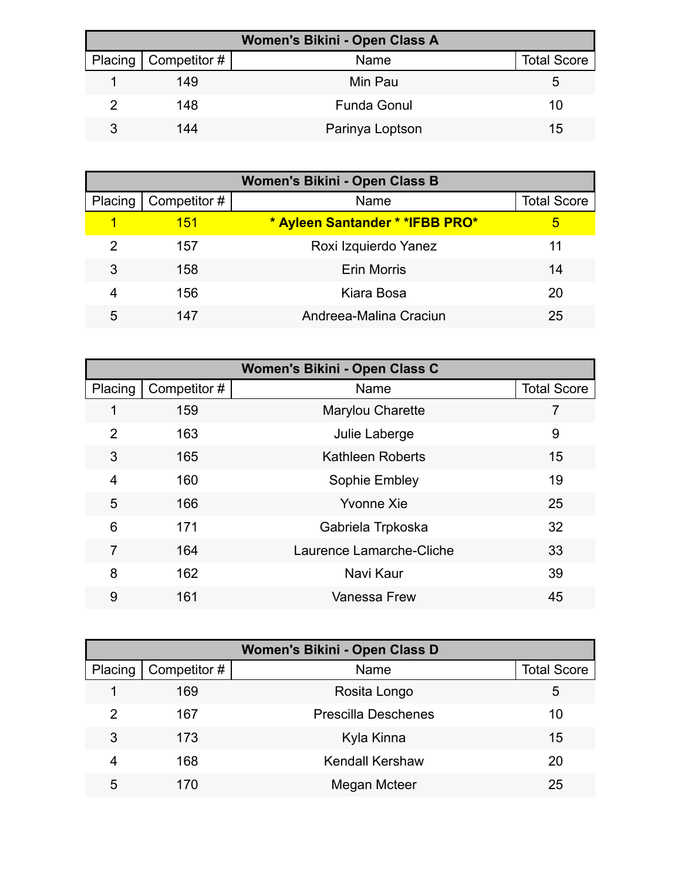| Women's Bikini - Open Class A |                        |                    |                    |  |
|-------------------------------|------------------------|--------------------|--------------------|--|
|                               | Placing   Competitor # | Name               | <b>Total Score</b> |  |
|                               | 149                    | Min Pau            | b                  |  |
|                               | 148                    | <b>Funda Gonul</b> | 10                 |  |
|                               | 144                    | Parinya Loptson    | 15                 |  |

| Women's Bikini - Open Class B |              |                                  |                    |  |
|-------------------------------|--------------|----------------------------------|--------------------|--|
| Placing                       | Competitor # | Name                             | <b>Total Score</b> |  |
|                               | <u> 151</u>  | * Ayleen Santander * * IFBB PRO* | 5                  |  |
| 2                             | 157          | Roxi Izquierdo Yanez             | 11                 |  |
| 3                             | 158          | <b>Erin Morris</b>               | 14                 |  |
| 4                             | 156          | Kiara Bosa                       | 20                 |  |
| 5                             | 147          | Andreea-Malina Craciun           | 25                 |  |

| Women's Bikini - Open Class C |             |                          |                    |  |  |  |
|-------------------------------|-------------|--------------------------|--------------------|--|--|--|
| Placing                       | Competitor# | Name                     | <b>Total Score</b> |  |  |  |
| 1                             | 159         | Marylou Charette         | 7                  |  |  |  |
| $\overline{2}$                | 163         | Julie Laberge            | 9                  |  |  |  |
| 3                             | 165         | <b>Kathleen Roberts</b>  | 15                 |  |  |  |
| 4                             | 160         | Sophie Embley            | 19                 |  |  |  |
| 5                             | 166         | <b>Yvonne Xie</b>        | 25                 |  |  |  |
| 6                             | 171         | Gabriela Trpkoska        | 32                 |  |  |  |
| 7                             | 164         | Laurence Lamarche-Cliche | 33                 |  |  |  |
| 8                             | 162         | Navi Kaur                | 39                 |  |  |  |
| 9                             | 161         | <b>Vanessa Frew</b>      | 45                 |  |  |  |

| Women's Bikini - Open Class D |              |                            |                    |  |  |  |
|-------------------------------|--------------|----------------------------|--------------------|--|--|--|
| Placing                       | Competitor # | Name                       | <b>Total Score</b> |  |  |  |
|                               | 169          | Rosita Longo               | 5                  |  |  |  |
| 2                             | 167          | <b>Prescilla Deschenes</b> | 10                 |  |  |  |
| 3                             | 173          | Kyla Kinna                 | 15                 |  |  |  |
| 4                             | 168          | <b>Kendall Kershaw</b>     | 20                 |  |  |  |
| 5                             | 170          | Megan Mcteer               | 25                 |  |  |  |